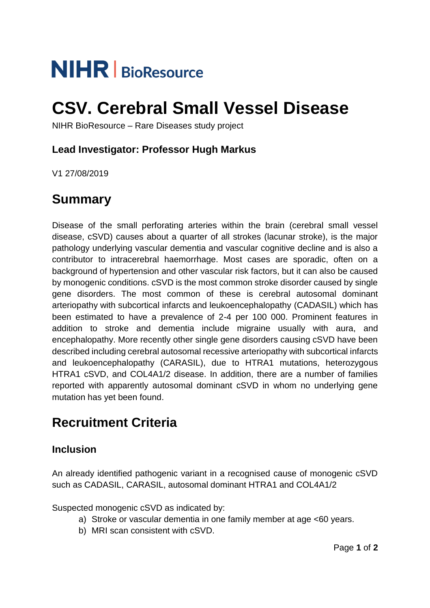# **NIHR** | BioResource

## **CSV. Cerebral Small Vessel Disease**

NIHR BioResource – Rare Diseases study project

#### **Lead Investigator: Professor Hugh Markus**

V1 27/08/2019

## **Summary**

Disease of the small perforating arteries within the brain (cerebral small vessel disease, cSVD) causes about a quarter of all strokes (lacunar stroke), is the major pathology underlying vascular dementia and vascular cognitive decline and is also a contributor to intracerebral haemorrhage. Most cases are sporadic, often on a background of hypertension and other vascular risk factors, but it can also be caused by monogenic conditions. cSVD is the most common stroke disorder caused by single gene disorders. The most common of these is cerebral autosomal dominant arteriopathy with subcortical infarcts and leukoencephalopathy (CADASIL) which has been estimated to have a prevalence of 2-4 per 100 000. Prominent features in addition to stroke and dementia include migraine usually with aura, and encephalopathy. More recently other single gene disorders causing cSVD have been described including cerebral autosomal recessive arteriopathy with subcortical infarcts and leukoencephalopathy (CARASIL), due to HTRA1 mutations, heterozygous HTRA1 cSVD, and COL4A1/2 disease. In addition, there are a number of families reported with apparently autosomal dominant cSVD in whom no underlying gene mutation has yet been found.

## **Recruitment Criteria**

### **Inclusion**

An already identified pathogenic variant in a recognised cause of monogenic cSVD such as CADASIL, CARASIL, autosomal dominant HTRA1 and COL4A1/2

Suspected monogenic cSVD as indicated by:

- a) Stroke or vascular dementia in one family member at age <60 years.
- b) MRI scan consistent with cSVD.